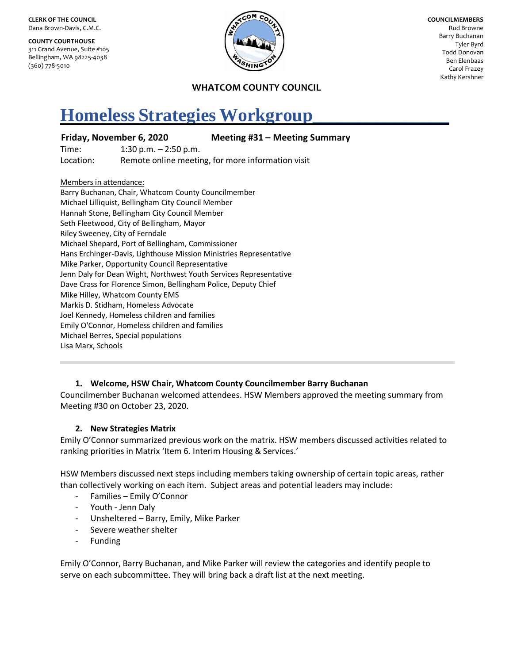**CLERK OF THE COUNCIL** Dana Brown-Davis, C.M.C.

**COUNTY COURTHOUSE** 311 Grand Avenue, Suite #105 Bellingham, WA 98225-4038 (360) 778-5010



**COUNCILMEMBERS** Rud Browne Barry Buchanan Tyler Byrd Todd Donovan Ben Elenbaas Carol Frazey Kathy Kershner

## **WHATCOM COUNTY COUNCIL**

# **Homeless Strategies Workgroup\_\_\_\_\_\_\_\_\_\_\_\_\_\_\_**

#### **Friday, November 6, 2020 Meeting #31 – Meeting Summary**

Time: 1:30 p.m. – 2:50 p.m. Location: Remote online meeting, for more information visit

Members in attendance:

Barry Buchanan, Chair, Whatcom County Councilmember Michael Lilliquist, Bellingham City Council Member Hannah Stone, Bellingham City Council Member Seth Fleetwood, City of Bellingham, Mayor Riley Sweeney, City of Ferndale Michael Shepard, Port of Bellingham, Commissioner Hans Erchinger-Davis, Lighthouse Mission Ministries Representative Mike Parker, Opportunity Council Representative Jenn Daly for Dean Wight, Northwest Youth Services Representative Dave Crass for Florence Simon, Bellingham Police, Deputy Chief Mike Hilley, Whatcom County EMS Markis D. Stidham, Homeless Advocate Joel Kennedy, Homeless children and families Emily O'Connor, Homeless children and families Michael Berres, Special populations Lisa Marx, Schools

#### **1. Welcome, HSW Chair, Whatcom County Councilmember Barry Buchanan**

Councilmember Buchanan welcomed attendees. HSW Members approved the meeting summary from Meeting #30 on October 23, 2020.

#### **2. New Strategies Matrix**

Emily O'Connor summarized previous work on the matrix. HSW members discussed activities related to ranking priorities in Matrix 'Item 6. Interim Housing & Services.'

HSW Members discussed next steps including members taking ownership of certain topic areas, rather than collectively working on each item. Subject areas and potential leaders may include:

- Families Emily O'Connor
- Youth Jenn Daly
- Unsheltered Barry, Emily, Mike Parker
- Severe weather shelter
- Funding

Emily O'Connor, Barry Buchanan, and Mike Parker will review the categories and identify people to serve on each subcommittee. They will bring back a draft list at the next meeting.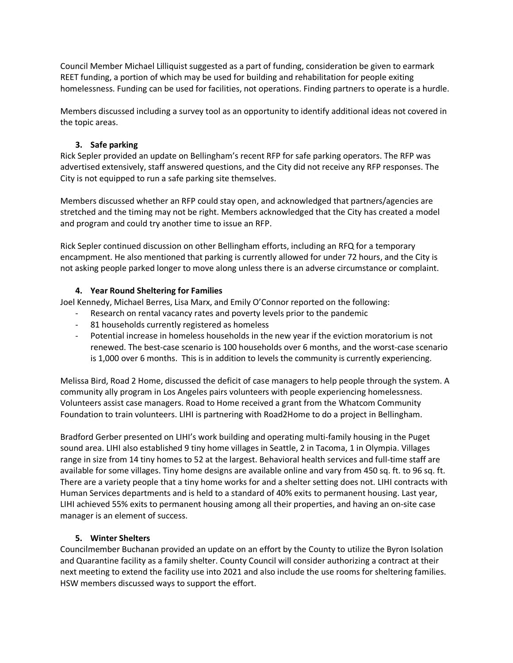Council Member Michael Lilliquist suggested as a part of funding, consideration be given to earmark REET funding, a portion of which may be used for building and rehabilitation for people exiting homelessness. Funding can be used for facilities, not operations. Finding partners to operate is a hurdle.

Members discussed including a survey tool as an opportunity to identify additional ideas not covered in the topic areas.

# **3. Safe parking**

Rick Sepler provided an update on Bellingham's recent RFP for safe parking operators. The RFP was advertised extensively, staff answered questions, and the City did not receive any RFP responses. The City is not equipped to run a safe parking site themselves.

Members discussed whether an RFP could stay open, and acknowledged that partners/agencies are stretched and the timing may not be right. Members acknowledged that the City has created a model and program and could try another time to issue an RFP.

Rick Sepler continued discussion on other Bellingham efforts, including an RFQ for a temporary encampment. He also mentioned that parking is currently allowed for under 72 hours, and the City is not asking people parked longer to move along unless there is an adverse circumstance or complaint.

## **4. Year Round Sheltering for Families**

Joel Kennedy, Michael Berres, Lisa Marx, and Emily O'Connor reported on the following:

- Research on rental vacancy rates and poverty levels prior to the pandemic
	- 81 households currently registered as homeless
	- Potential increase in homeless households in the new year if the eviction moratorium is not renewed. The best-case scenario is 100 households over 6 months, and the worst-case scenario is 1,000 over 6 months. This is in addition to levels the community is currently experiencing.

Melissa Bird, Road 2 Home, discussed the deficit of case managers to help people through the system. A community ally program in Los Angeles pairs volunteers with people experiencing homelessness. Volunteers assist case managers. Road to Home received a grant from the Whatcom Community Foundation to train volunteers. LIHI is partnering with Road2Home to do a project in Bellingham.

Bradford Gerber presented on LIHI's work building and operating multi-family housing in the Puget sound area. LIHI also established 9 tiny home villages in Seattle, 2 in Tacoma, 1 in Olympia. Villages range in size from 14 tiny homes to 52 at the largest. Behavioral health services and full-time staff are available for some villages. Tiny home designs are available online and vary from 450 sq. ft. to 96 sq. ft. There are a variety people that a tiny home works for and a shelter setting does not. LIHI contracts with Human Services departments and is held to a standard of 40% exits to permanent housing. Last year, LIHI achieved 55% exits to permanent housing among all their properties, and having an on-site case manager is an element of success.

# **5. Winter Shelters**

Councilmember Buchanan provided an update on an effort by the County to utilize the Byron Isolation and Quarantine facility as a family shelter. County Council will consider authorizing a contract at their next meeting to extend the facility use into 2021 and also include the use rooms for sheltering families. HSW members discussed ways to support the effort.